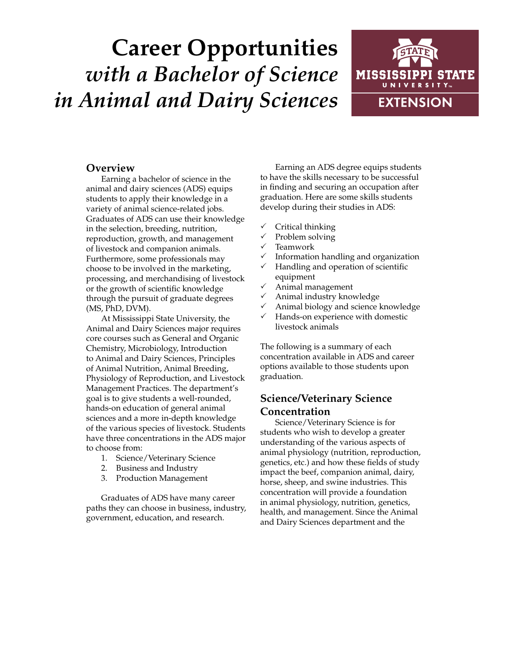# **Career Opportunities** *with a Bachelor of Science in Animal and Dairy Sciences*



## **Overview**

Earning a bachelor of science in the animal and dairy sciences (ADS) equips students to apply their knowledge in a variety of animal science-related jobs. Graduates of ADS can use their knowledge in the selection, breeding, nutrition, reproduction, growth, and management of livestock and companion animals. Furthermore, some professionals may choose to be involved in the marketing, processing, and merchandising of livestock or the growth of scientific knowledge through the pursuit of graduate degrees (MS, PhD, DVM).

At Mississippi State University, the Animal and Dairy Sciences major requires core courses such as General and Organic Chemistry, Microbiology, Introduction to Animal and Dairy Sciences, Principles of Animal Nutrition, Animal Breeding, Physiology of Reproduction, and Livestock Management Practices. The department's goal is to give students a well-rounded, hands-on education of general animal sciences and a more in-depth knowledge of the various species of livestock. Students have three concentrations in the ADS major to choose from:

- 1. Science/Veterinary Science
- 2. Business and Industry
- 3. Production Management

Graduates of ADS have many career paths they can choose in business, industry, government, education, and research.

Earning an ADS degree equips students to have the skills necessary to be successful in finding and securing an occupation after graduation. Here are some skills students develop during their studies in ADS:

- $\checkmark$  Critical thinking
- Problem solving
- $\checkmark$  Teamwork
- Information handling and organization
- $\checkmark$  Handling and operation of scientific equipment
- $\checkmark$  Animal management
- $\checkmark$  Animal industry knowledge
- Animal biology and science knowledge
- $\checkmark$  Hands-on experience with domestic livestock animals

The following is a summary of each concentration available in ADS and career options available to those students upon graduation.

## **Science/Veterinary Science Concentration**

Science/Veterinary Science is for students who wish to develop a greater understanding of the various aspects of animal physiology (nutrition, reproduction, genetics, etc.) and how these fields of study impact the beef, companion animal, dairy, horse, sheep, and swine industries. This concentration will provide a foundation in animal physiology, nutrition, genetics, health, and management. Since the Animal and Dairy Sciences department and the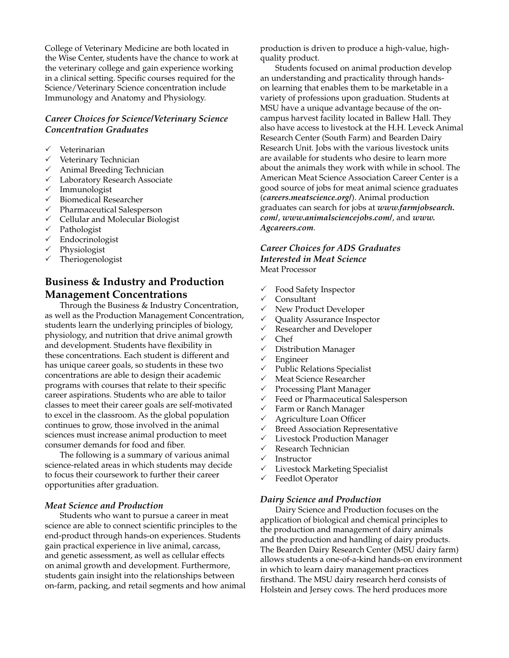College of Veterinary Medicine are both located in the Wise Center, students have the chance to work at the veterinary college and gain experience working in a clinical setting. Specific courses required for the Science/Veterinary Science concentration include Immunology and Anatomy and Physiology.

## *Career Choices for Science/Veterinary Science Concentration Graduates*

- Veterinarian
- $\checkmark$  Veterinary Technician
- $\checkmark$  Animal Breeding Technician
- $\checkmark$  Laboratory Research Associate
- $\checkmark$  Immunologist
- $\checkmark$  Biomedical Researcher
- $\checkmark$  Pharmaceutical Salesperson
- $\checkmark$  Cellular and Molecular Biologist
- $\checkmark$  Pathologist
- $\checkmark$  Endocrinologist
- $\checkmark$  Physiologist
- $\checkmark$  Theriogenologist

# **Business & Industry and Production Management Concentrations**

Through the Business & Industry Concentration, as well as the Production Management Concentration, students learn the underlying principles of biology, physiology, and nutrition that drive animal growth and development. Students have flexibility in these concentrations. Each student is different and has unique career goals, so students in these two concentrations are able to design their academic programs with courses that relate to their specific career aspirations. Students who are able to tailor classes to meet their career goals are self-motivated to excel in the classroom. As the global population continues to grow, those involved in the animal sciences must increase animal production to meet consumer demands for food and fiber.

The following is a summary of various animal science-related areas in which students may decide to focus their coursework to further their career opportunities after graduation.

#### *Meat Science and Production*

Students who want to pursue a career in meat science are able to connect scientific principles to the end-product through hands-on experiences. Students gain practical experience in live animal, carcass, and genetic assessment, as well as cellular effects on animal growth and development. Furthermore, students gain insight into the relationships between on-farm, packing, and retail segments and how animal production is driven to produce a high-value, highquality product.

Students focused on animal production develop an understanding and practicality through handson learning that enables them to be marketable in a variety of professions upon graduation. Students at MSU have a unique advantage because of the oncampus harvest facility located in Ballew Hall. They also have access to livestock at the H.H. Leveck Animal Research Center (South Farm) and Bearden Dairy Research Unit. Jobs with the various livestock units are available for students who desire to learn more about the animals they work with while in school. The American Meat Science Association Career Center is a good source of jobs for meat animal science graduates (*careers.meatscience.org/*). Animal production graduates can search for jobs at *www.farmjobsearch. com/*, *www.animalsciencejobs.com/*, and *www. Agcareers.com*.

#### *Career Choices for ADS Graduates Interested in Meat Science*

Meat Processor

- $\checkmark$  Food Safety Inspector
- Consultant
- $\checkmark$  New Product Developer
- $\checkmark$  Quality Assurance Inspector
- $\checkmark$  Researcher and Developer
- $\checkmark$  Chef
- $\checkmark$  Distribution Manager
- $\checkmark$  Engineer
- $\checkmark$  Public Relations Specialist
- $\checkmark$  Meat Science Researcher
- $\checkmark$  Processing Plant Manager
- $\checkmark$  Feed or Pharmaceutical Salesperson
- $\checkmark$  Farm or Ranch Manager
- $\checkmark$  Agriculture Loan Officer
- $\checkmark$  Breed Association Representative
- $\checkmark$  Livestock Production Manager
- $\checkmark$  Research Technician
- $\checkmark$  Instructor
- $\checkmark$  Livestock Marketing Specialist
- $\checkmark$  Feedlot Operator

#### *Dairy Science and Production*

Dairy Science and Production focuses on the application of biological and chemical principles to the production and management of dairy animals and the production and handling of dairy products. The Bearden Dairy Research Center (MSU dairy farm) allows students a one-of-a-kind hands-on environment in which to learn dairy management practices firsthand. The MSU dairy research herd consists of Holstein and Jersey cows. The herd produces more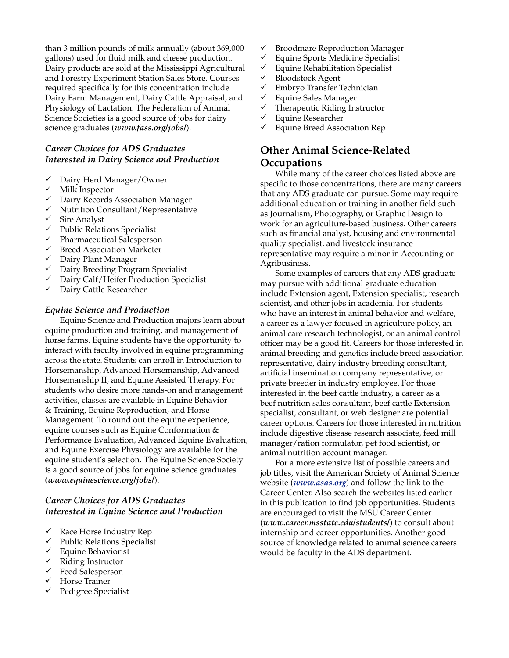than 3 million pounds of milk annually (about 369,000 gallons) used for fluid milk and cheese production. Dairy products are sold at the Mississippi Agricultural and Forestry Experiment Station Sales Store. Courses required specifically for this concentration include Dairy Farm Management, Dairy Cattle Appraisal, and Physiology of Lactation. The Federation of Animal Science Societies is a good source of jobs for dairy science graduates (*www.fass.org/jobs/*).

## *Career Choices for ADS Graduates Interested in Dairy Science and Production*

- $\checkmark$  Dairy Herd Manager/Owner
- $\checkmark$  Milk Inspector
- $\sqrt{ }$  Dairy Records Association Manager
- $\checkmark$  Nutrition Consultant/Representative
- $\checkmark$  Sire Analyst
- $\checkmark$  Public Relations Specialist
- $\checkmark$  Pharmaceutical Salesperson
- $\checkmark$  Breed Association Marketer
- $\checkmark$  Dairy Plant Manager
- $\checkmark$  Dairy Breeding Program Specialist
- $\checkmark$  Dairy Calf/Heifer Production Specialist
- $\sqrt{ }$  Dairy Cattle Researcher

#### *Equine Science and Production*

Equine Science and Production majors learn about equine production and training, and management of horse farms. Equine students have the opportunity to interact with faculty involved in equine programming across the state. Students can enroll in Introduction to Horsemanship, Advanced Horsemanship, Advanced Horsemanship II, and Equine Assisted Therapy. For students who desire more hands-on and management activities, classes are available in Equine Behavior & Training, Equine Reproduction, and Horse Management. To round out the equine experience, equine courses such as Equine Conformation & Performance Evaluation, Advanced Equine Evaluation, and Equine Exercise Physiology are available for the equine student's selection. The Equine Science Society is a good source of jobs for equine science graduates (*www.equinescience.org/jobs/*).

## *Career Choices for ADS Graduates Interested in Equine Science and Production*

- $\checkmark$  Race Horse Industry Rep
- $\checkmark$  Public Relations Specialist
- $\checkmark$  Equine Behaviorist
- $\checkmark$  Riding Instructor
- $\checkmark$  Feed Salesperson
- Horse Trainer
- Pedigree Specialist
- $\checkmark$  Broodmare Reproduction Manager
- $\checkmark$  Equine Sports Medicine Specialist
- $\checkmark$  Equine Rehabilitation Specialist
- $\checkmark$  Bloodstock Agent
- Embryo Transfer Technician
- $\checkmark$  Equine Sales Manager
- $\checkmark$  Therapeutic Riding Instructor
- $\checkmark$  Equine Researcher
- $\checkmark$  Equine Breed Association Rep

## **Other Animal Science-Related Occupations**

While many of the career choices listed above are specific to those concentrations, there are many careers that any ADS graduate can pursue. Some may require additional education or training in another field such as Journalism, Photography, or Graphic Design to work for an agriculture-based business. Other careers such as financial analyst, housing and environmental quality specialist, and livestock insurance representative may require a minor in Accounting or Agribusiness.

Some examples of careers that any ADS graduate may pursue with additional graduate education include Extension agent, Extension specialist, research scientist, and other jobs in academia. For students who have an interest in animal behavior and welfare, a career as a lawyer focused in agriculture policy, an animal care research technologist, or an animal control officer may be a good fit. Careers for those interested in animal breeding and genetics include breed association representative, dairy industry breeding consultant, artificial insemination company representative, or private breeder in industry employee. For those interested in the beef cattle industry, a career as a beef nutrition sales consultant, beef cattle Extension specialist, consultant, or web designer are potential career options. Careers for those interested in nutrition include digestive disease research associate, feed mill manager/ration formulator, pet food scientist, or animal nutrition account manager.

For a more extensive list of possible careers and job titles, visit the American Society of Animal Science website (*www.asas.org*) and follow the link to the Career Center. Also search the websites listed earlier in this publication to find job opportunities. Students are encouraged to visit the MSU Career Center (*www.career.msstate.edu/students/*) to consult about internship and career opportunities. Another good source of knowledge related to animal science careers would be faculty in the ADS department.